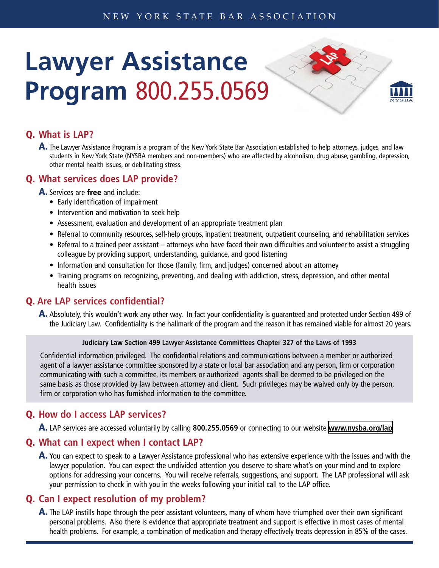# **Lawyer Assistance Program** 800.255.0569

#### Q. **What is LAP?**

A. The Lawyer Assistance Program is a program of the New York State Bar Association established to help attorneys, judges, and law students in New York State (NYSBA members and non-members) who are affected by alcoholism, drug abuse, gambling, depression, other mental health issues, or debilitating stress.

### Q. **What services does LAP provide?**

A. Services are free and include:

- Early identification of impairment
- Intervention and motivation to seek help
- Assessment, evaluation and development of an appropriate treatment plan
- • Referral to community resources, self-help groups, inpatient treatment, outpatient counseling, and rehabilitation services
- Referral to a trained peer assistant attorneys who have faced their own difficulties and volunteer to assist a struggling colleague by providing support, understanding, guidance, and good listening
- Information and consultation for those (family, firm, and judges) concerned about an attorney
- Training programs on recognizing, preventing, and dealing with addiction, stress, depression, and other mental health issues

#### Q. **Are LAP services confidential?**

A. Absolutely, this wouldn't work any other way. In fact your confidentiality is guaranteed and protected under Section 499 of the Judiciary Law. Confidentiality is the hallmark of the program and the reason it has remained viable for almost 20 years.

#### **Judiciary Law Section 499 Lawyer Assistance Committees Chapter 327 of the Laws of 1993**

Confidential information privileged. The confidential relations and communications between a member or authorized agent of a lawyer assistance committee sponsored by a state or local bar association and any person, firm or corporation communicating with such a committee, its members or authorized agents shall be deemed to be privileged on the same basis as those provided by law between attorney and client. Such privileges may be waived only by the person, firm or corporation who has furnished information to the committee.

#### Q. **How do I access LAP services?**

A. LAP services are accessed voluntarily by calling **800.255.0569** or connecting to our website **[www.nysba.org/lap](http://www.nysba.org/lap)**

#### Q. **What can I expect when I contact LAP?**

A. You can expect to speak to a Lawyer Assistance professional who has extensive experience with the issues and with the lawyer population. You can expect the undivided attention you deserve to share what's on your mind and to explore options for addressing your concerns. You will receive referrals, suggestions, and support. The LAP professional will ask your permission to check in with you in the weeks following your initial call to the LAP office.

#### Q. **Can I expect resolution of my problem?**

A. The LAP instills hope through the peer assistant volunteers, many of whom have triumphed over their own significant personal problems. Also there is evidence that appropriate treatment and support is effective in most cases of mental health problems. For example, a combination of medication and therapy effectively treats depression in 85% of the cases.